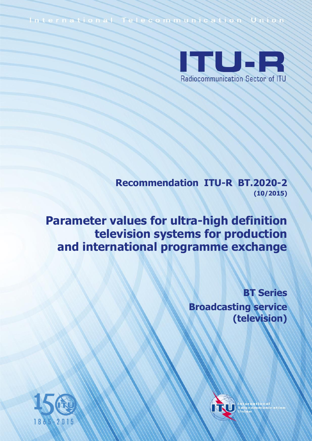International Telecommunication Union



**Recommendation ITU-R BT.2020-2 (10/2015)**

**Parameter values for ultra-high definition television systems for production and international programme exchange**

> **BT Series Broadcasting service (television)**



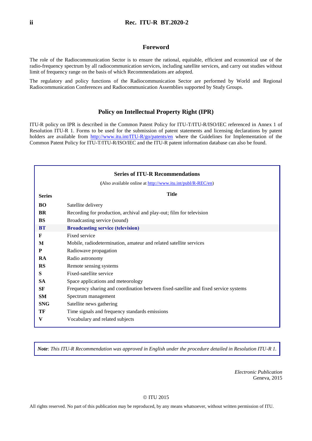#### **Foreword**

The role of the Radiocommunication Sector is to ensure the rational, equitable, efficient and economical use of the radio-frequency spectrum by all radiocommunication services, including satellite services, and carry out studies without limit of frequency range on the basis of which Recommendations are adopted.

The regulatory and policy functions of the Radiocommunication Sector are performed by World and Regional Radiocommunication Conferences and Radiocommunication Assemblies supported by Study Groups.

#### **Policy on Intellectual Property Right (IPR)**

ITU-R policy on IPR is described in the Common Patent Policy for ITU-T/ITU-R/ISO/IEC referenced in Annex 1 of Resolution ITU-R 1. Forms to be used for the submission of patent statements and licensing declarations by patent holders are available from <http://www.itu.int/ITU-R/go/patents/en> where the Guidelines for Implementation of the Common Patent Policy for ITU-T/ITU-R/ISO/IEC and the ITU-R patent information database can also be found.

|               | <b>Series of ITU-R Recommendations</b>                                               |  |  |  |
|---------------|--------------------------------------------------------------------------------------|--|--|--|
|               |                                                                                      |  |  |  |
|               | (Also available online at http://www.itu.int/publ/R-REC/en)                          |  |  |  |
| <b>Series</b> | <b>Title</b>                                                                         |  |  |  |
| <b>BO</b>     | Satellite delivery                                                                   |  |  |  |
| <b>BR</b>     | Recording for production, archival and play-out; film for television                 |  |  |  |
| <b>BS</b>     | Broadcasting service (sound)                                                         |  |  |  |
| <b>BT</b>     | <b>Broadcasting service (television)</b>                                             |  |  |  |
| F             | Fixed service                                                                        |  |  |  |
| M             | Mobile, radiodetermination, amateur and related satellite services                   |  |  |  |
| P             | Radiowave propagation                                                                |  |  |  |
| RA            | Radio astronomy                                                                      |  |  |  |
| <b>RS</b>     | Remote sensing systems                                                               |  |  |  |
| S             | Fixed-satellite service                                                              |  |  |  |
| <b>SA</b>     | Space applications and meteorology                                                   |  |  |  |
| <b>SF</b>     | Frequency sharing and coordination between fixed-satellite and fixed service systems |  |  |  |
| <b>SM</b>     | Spectrum management                                                                  |  |  |  |
| <b>SNG</b>    | Satellite news gathering                                                             |  |  |  |
| TF            | Time signals and frequency standards emissions                                       |  |  |  |
| V             | Vocabulary and related subjects                                                      |  |  |  |
|               |                                                                                      |  |  |  |

*Note*: *This ITU-R Recommendation was approved in English under the procedure detailed in Resolution ITU-R 1.*

*Electronic Publication* Geneva, 2015

#### © ITU 2015

All rights reserved. No part of this publication may be reproduced, by any means whatsoever, without written permission of ITU.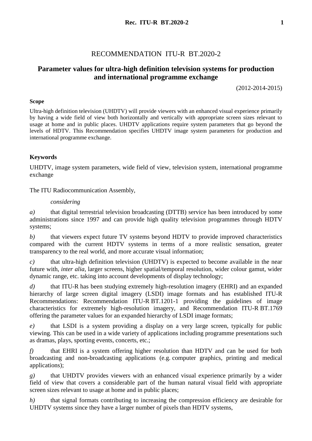# RECOMMENDATION ITU-R BT.2020-2

# **Parameter values for ultra-high definition television systems for production and international programme exchange**

(2012-2014-2015)

### **Scope**

Ultra-high definition television (UHDTV) will provide viewers with an enhanced visual experience primarily by having a wide field of view both horizontally and vertically with appropriate screen sizes relevant to usage at home and in public places. UHDTV applications require system parameters that go beyond the levels of HDTV. This Recommendation specifies UHDTV image system parameters for production and international programme exchange.

### **Keywords**

UHDTV, image system parameters, wide field of view, television system, international programme exchange

The ITU Radiocommunication Assembly,

### *considering*

*a)* that digital terrestrial television broadcasting (DTTB) service has been introduced by some administrations since 1997 and can provide high quality television programmes through HDTV systems;

*b)* that viewers expect future TV systems beyond HDTV to provide improved characteristics compared with the current HDTV systems in terms of a more realistic sensation, greater transparency to the real world, and more accurate visual information;

*c)* that ultra-high definition television (UHDTV) is expected to become available in the near future with, *inter alia*, larger screens, higher spatial/temporal resolution, wider colour gamut, wider dynamic range, etc. taking into account developments of display technology;

*d)* that ITU-R has been studying extremely high-resolution imagery (EHRI) and an expanded hierarchy of large screen digital imagery (LSDI) image formats and has established ITU-R Recommendations: Recommendation ITU-R BT.1201-1 providing the guidelines of image characteristics for extremely high-resolution imagery, and Recommendation ITU-R BT.1769 offering the parameter values for an expanded hierarchy of LSDI image formats;

*e)* that LSDI is a system providing a display on a very large screen, typically for public viewing. This can be used in a wide variety of applications including programme presentations such as dramas, plays, sporting events, concerts, etc.;

*f)* that EHRI is a system offering higher resolution than HDTV and can be used for both broadcasting and non-broadcasting applications (e.g. computer graphics, printing and medical applications);

*g)* that UHDTV provides viewers with an enhanced visual experience primarily by a wider field of view that covers a considerable part of the human natural visual field with appropriate screen sizes relevant to usage at home and in public places;

*h*) that signal formats contributing to increasing the compression efficiency are desirable for UHDTV systems since they have a larger number of pixels than HDTV systems,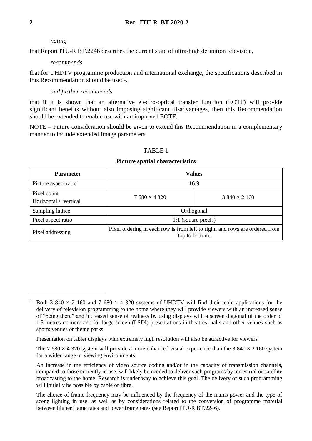#### *noting*

that Report ITU-R BT.2246 describes the current state of ultra-high definition television,

#### *recommends*

that for UHDTV programme production and international exchange, the specifications described in this Recommendation should be used1,

### *and further recommends*

that if it is shown that an alternative electro-optical transfer function (EOTF) will provide significant benefits without also imposing significant disadvantages, then this Recommendation should be extended to enable use with an improved EOTF.

NOTE – Future consideration should be given to extend this Recommendation in a complementary manner to include extended image parameters.

### TABLE 1

#### **Picture spatial characteristics**

| <b>Parameter</b>                            | <b>Values</b>                                                                                 |                    |  |
|---------------------------------------------|-----------------------------------------------------------------------------------------------|--------------------|--|
| Picture aspect ratio                        | 16:9                                                                                          |                    |  |
| Pixel count<br>Horizontal $\times$ vertical | $7680 \times 4320$                                                                            | $3840 \times 2160$ |  |
| Sampling lattice                            | Orthogonal                                                                                    |                    |  |
| Pixel aspect ratio                          | 1:1 (square pixels)                                                                           |                    |  |
| Pixel addressing                            | Pixel ordering in each row is from left to right, and rows are ordered from<br>top to bottom. |                    |  |

<u>.</u>

<sup>&</sup>lt;sup>1</sup> Both 3 840  $\times$  2 160 and 7 680  $\times$  4 320 systems of UHDTV will find their main applications for the delivery of television programming to the home where they will provide viewers with an increased sense of "being there" and increased sense of realness by using displays with a screen diagonal of the order of 1.5 metres or more and for large screen (LSDI) presentations in theatres, halls and other venues such as sports venues or theme parks.

Presentation on tablet displays with extremely high resolution will also be attractive for viewers.

The 7 680  $\times$  4 320 system will provide a more enhanced visual experience than the 3 840  $\times$  2 160 system for a wider range of viewing environments.

An increase in the efficiency of video source coding and/or in the capacity of transmission channels, compared to those currently in use, will likely be needed to deliver such programs by terrestrial or satellite broadcasting to the home. Research is under way to achieve this goal. The delivery of such programming will initially be possible by cable or fibre.

The choice of frame frequency may be influenced by the frequency of the mains power and the type of scene lighting in use, as well as by considerations related to the conversion of programme material between higher frame rates and lower frame rates (see Report ITU-R BT.2246).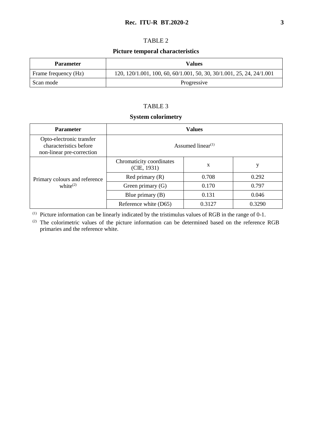### **Rec. ITU-R BT.2020-2 3**

### TABLE 2

### **Picture temporal characteristics**

| <b>Parameter</b>     | Values                                                                |  |
|----------------------|-----------------------------------------------------------------------|--|
| Frame frequency (Hz) | 120, 120/1.001, 100, 60, 60/1.001, 50, 30, 30/1.001, 25, 24, 24/1.001 |  |
| Scan mode            | Progressive                                                           |  |

### TABLE 3

### **System colorimetry**

| <b>Parameter</b>                                                                | <b>Values</b>                              |        |        |
|---------------------------------------------------------------------------------|--------------------------------------------|--------|--------|
| Opto-electronic transfer<br>characteristics before<br>non-linear pre-correction | Assumed linear <sup><math>(1)</math></sup> |        |        |
|                                                                                 | Chromaticity coordinates<br>(CIE, 1931)    | X      | у      |
| Primary colours and reference                                                   | Red primary $(R)$                          | 0.708  | 0.292  |
| white $^{(2)}$                                                                  | Green primary $(G)$                        | 0.170  | 0.797  |
|                                                                                 | Blue primary $(B)$                         | 0.131  | 0.046  |
|                                                                                 | Reference white (D65)                      | 0.3127 | 0.3290 |

(1) Picture information can be linearly indicated by the tristimulus values of RGB in the range of 0-1.

(2) The colorimetric values of the picture information can be determined based on the reference RGB primaries and the reference white.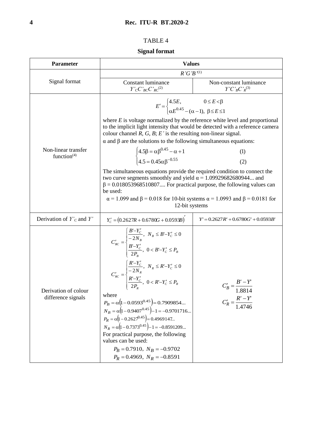## TABLE 4

# **Signal format**

| <b>Parameter</b>                           | <b>Values</b>                                                                                                                                                                                                                                                                                                                                                                                                                                                                                                                                                                                                                                                                                                                                                                                                                                                                                                                    |                                                                 |  |
|--------------------------------------------|----------------------------------------------------------------------------------------------------------------------------------------------------------------------------------------------------------------------------------------------------------------------------------------------------------------------------------------------------------------------------------------------------------------------------------------------------------------------------------------------------------------------------------------------------------------------------------------------------------------------------------------------------------------------------------------------------------------------------------------------------------------------------------------------------------------------------------------------------------------------------------------------------------------------------------|-----------------------------------------------------------------|--|
|                                            | $R'G'B'^{(1)}$                                                                                                                                                                                                                                                                                                                                                                                                                                                                                                                                                                                                                                                                                                                                                                                                                                                                                                                   |                                                                 |  |
| Signal format                              | <b>Constant luminance</b><br>$Y'cC'_{BC}C'_{RC}^{(2)}$                                                                                                                                                                                                                                                                                                                                                                                                                                                                                                                                                                                                                                                                                                                                                                                                                                                                           | Non-constant luminance<br>$Y'C'_{B}C'_{R}^{(3)}$                |  |
| Non-linear transfer<br>function $(4)$      | $E' = \begin{cases} 4.5E, & 0 \le E < \beta \\ \alpha E^{0.45} - (\alpha - 1), & \beta \le E < 1 \end{cases}$<br>where $E$ is voltage normalized by the reference white level and proportional<br>to the implicit light intensity that would be detected with a reference camera<br>colour channel $R, G, B$ ; $E'$ is the resulting non-linear signal.<br>$\alpha$ and $\beta$ are the solutions to the following simultaneous equations:<br>$\begin{cases} 4.5\beta = \alpha \beta^{0.45} - \alpha + 1 \\ 4.5 = 0.45 \alpha \beta^{-0.55} \end{cases}$<br>The simultaneous equations provide the required condition to connect the<br>two curve segments smoothly and yield $\alpha$ = 1.09929682680944 and<br>$\beta$ = 0.018053968510807 For practical purpose, the following values can<br>be used:<br>$\alpha$ = 1.099 and $\beta$ = 0.018 for 10-bit systems $\alpha$ = 1.0993 and $\beta$ = 0.0181 for<br>12-bit systems | (1)<br>(2)                                                      |  |
| Derivation of $Y'_{C}$ and $Y'$            | $Y_c = (0.2627R + 0.6780G + 0.0593B)^T$                                                                                                                                                                                                                                                                                                                                                                                                                                                                                                                                                                                                                                                                                                                                                                                                                                                                                          | $Y' = 0.2627R' + 0.6780G' + 0.0593B'$                           |  |
| Derivation of colour<br>difference signals | $C'_{BC} = \begin{cases} \frac{B'-Y'_C}{-2N_B}, & N_B \leq B'-Y'_C \leq 0 \\ \frac{B'-Y'_C}{2P_B}, & 0 < B'-Y'_C \leq P_B \end{cases}$<br>$C'_{RC} = \begin{cases} \frac{R'-Y'_C}{-2N_R}, & N_R \le R'-Y'_C \le 0 \\ \frac{R'-Y'_C}{2P_p}, & 0 < R'-Y'_C \le P_R \end{cases}$<br>where<br>$P_B = \alpha (1 - 0.0593^{0.45}) = 0.7909854$<br>$N_B = \alpha (1 - 0.9407^{0.45}) - 1 = -0.9701716$<br>$P_R = \alpha \left(1 - 0.2627^{0.45}\right) = 0.4969147$<br>$N_R = \alpha (1 - 0.7373^{0.45}) - 1 = -0.8591209$<br>For practical purpose, the following<br>values can be used:<br>$P_R = 0.7910$ , $N_R = -0.9702$<br>$P_R = 0.4969$ , $N_R = -0.8591$                                                                                                                                                                                                                                                                       | $C'_B = \frac{B' - I}{1.8814}$<br>$C'_R = \frac{R'-Y'}{1.4746}$ |  |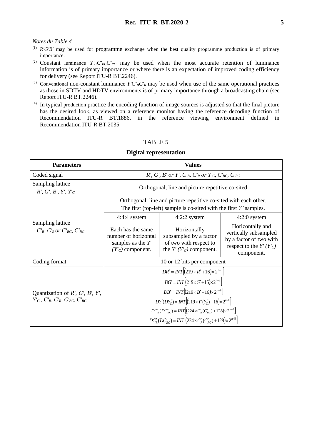#### *Notes du Table 4*

- (1) *R'G'B'* may be used for programme exchange when the best quality programme production is of primary importance.
- (2) Constant luminance  $Y'_{C}C'_{BC}C'_{RC}$  may be used when the most accurate retention of luminance information is of primary importance or where there is an expectation of improved coding efficiency for delivery (see Report ITU-R BT.2246).
- (3) Conventional non-constant luminance  $Y'C'_{B}C'_{R}$  may be used when use of the same operational practices as those in SDTV and HDTV environments is of primary importance through a broadcasting chain (see Report ITU-R BT.2246).
- (4) In typical production practice the encoding function of image sources is adjusted so that the final picture has the desired look, as viewed on a reference monitor having the reference decoding function of Recommendation ITU-R BT.1886, in the reference viewing environment defined in Recommendation ITU-R BT.2035.

### TABLE 5

#### **Parameters Values** Coded signal *R', G', B' or Y', C'<sub>B</sub>, C'<sub>R</sub> or Y'<sub>C</sub>, C'<sub>BC</sub>, C'<sub>RC</sub><sup><i>C'*<sub>RC</sub></sup> Sampling lattice  $-R', G', B', Y', Y'_{C}$ Orthogonal, line and picture repetitive co-sited Sampling lattice  $-C'_{B}$ *, C'<sub>R</sub> or C'<sub>BC</sub>, C'<sub>RC</sub>* Orthogonal, line and picture repetitive co-sited with each other. The first (top-left) sample is co-sited with the first *Y'* samples. 4:4:4 system  $4:2:2$  system  $4:2:0$  system Each has the same number of horizontal samples as the *Y'*  $(Y'_{C})$  component. Horizontally subsampled by a factor of two with respect to the  $Y'(Y'_{C})$  component. Horizontally and vertically subsampled by a factor of two with respect to the  $Y'(Y'_{C})$ component. Coding format 10 or 12 bits per component Quantization of *R', G', B', Y', Y'<sup>C</sup> , C'B, C'R, C'BC, C'RC*  $DR' = INT \left[ (219 \times R' + 16) \times 2^{n-8} \right]$  $DG' = INT \left[ (219 \times G' + 16) \times 2^{n-8} \right]$  $DB' = INT \left[ (219 \times B' + 16) \times 2^{n-8} \right]$  $DY'(DY'_{C}) = INT[(219 \times Y'(Y'_{C}) + 16) \times 2^{n-8}]$  $DC'_{B}(DC'_{BC}) = INT \left[ (224 \times C'_{B}(C'_{BC}) + 128) \times 2^{n-8} \right]$  $DC'_{R}(DC'_{RC}) = INT[(224 \times C'_{R}(C'_{RC}) + 128) \times 2^{n-8}]$

#### **Digital representation**